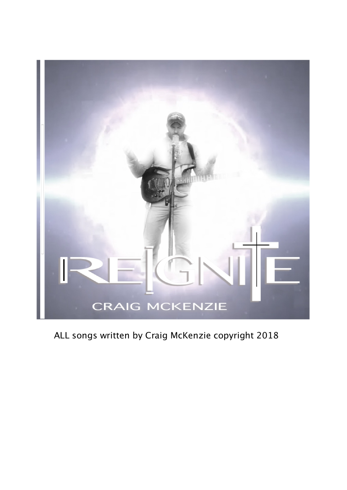

ALL songs written by Craig McKenzie copyright 2018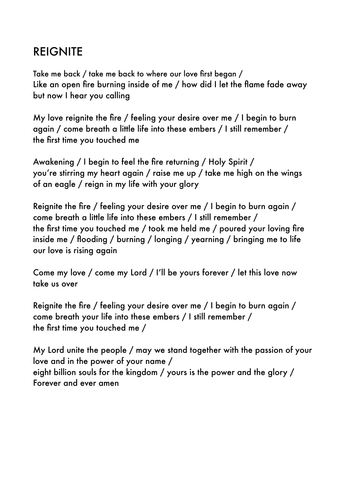# **REIGNITE**

Take me back / take me back to where our love first began / Like an open fire burning inside of me / how did I let the flame fade away but now I hear you calling

My love reignite the fire / feeling your desire over me / I begin to burn again / come breath a little life into these embers / I still remember / the first time you touched me

Awakening / I begin to feel the fire returning / Holy Spirit / you're stirring my heart again / raise me up / take me high on the wings of an eagle / reign in my life with your glory

Reignite the fire / feeling your desire over me / I begin to burn again / come breath a little life into these embers / I still remember / the first time you touched me / took me held me / poured your loving fire inside me / flooding / burning / longing / yearning / bringing me to life our love is rising again

Come my love / come my Lord / I'll be yours forever / let this love now take us over

Reignite the fire / feeling your desire over me / I begin to burn again / come breath your life into these embers / I still remember / the first time you touched me /

My Lord unite the people / may we stand together with the passion of your love and in the power of your name / eight billion souls for the kingdom / yours is the power and the glory / Forever and ever amen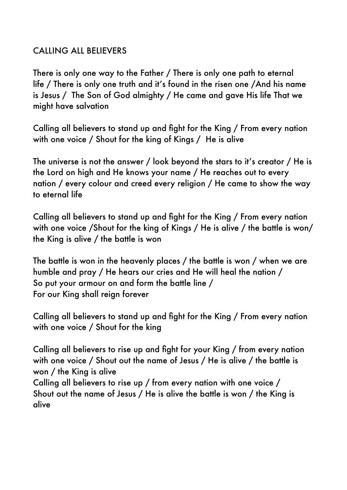## CALLING ALL BELIEVERS

There is only one way to the Father / There is only one path to eternal life / There is only one truth and it's found in the risen one /And his name is Jesus / The Son of God almighty / He came and gave His life That we might have salvation

Calling all believers to stand up and fight for the King / From every nation with one voice / Shout for the king of Kings / He is alive

The universe is not the answer / look beyond the stars to it's creator / He is the Lord on high and He knows your name / He reaches out to every nation / every colour and creed every religion / He came to show the way to eternal life

Calling all believers to stand up and fight for the King / From every nation with one voice /Shout for the king of Kings / He is alive / the battle is won/ the King is alive / the battle is won

The battle is won in the heavenly places / the battle is won / when we are humble and pray / He hears our cries and He will heal the nation / So put your armour on and form the battle line / For our King shall reign forever

Calling all believers to stand up and fight for the King / From every nation with one voice / Shout for the king

Calling all believers to rise up and fight for your King / from every nation with one voice / Shout out the name of Jesus / He is alive / the battle is won / the King is alive Calling all believers to rise up / from every nation with one voice / Shout out the name of Jesus / He is alive the battle is won / the King is

alive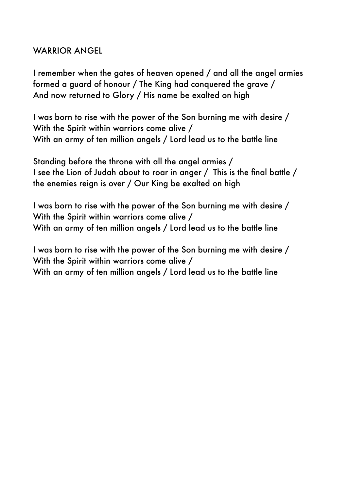## WARRIOR ANGEL

I remember when the gates of heaven opened / and all the angel armies formed a guard of honour / The King had conquered the grave / And now returned to Glory / His name be exalted on high

I was born to rise with the power of the Son burning me with desire / With the Spirit within warriors come alive / With an army of ten million angels / Lord lead us to the battle line

Standing before the throne with all the angel armies / I see the Lion of Judah about to roar in anger / This is the final battle / the enemies reign is over / Our King be exalted on high

I was born to rise with the power of the Son burning me with desire / With the Spirit within warriors come alive / With an army of ten million angels / Lord lead us to the battle line

I was born to rise with the power of the Son burning me with desire / With the Spirit within warriors come alive / With an army of ten million angels / Lord lead us to the battle line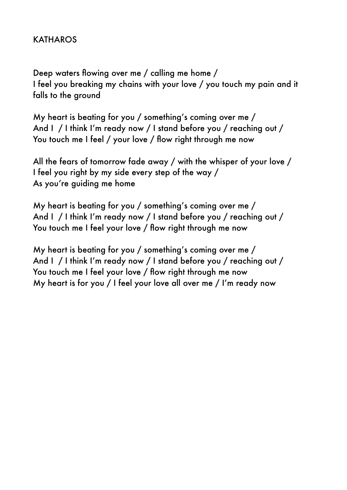## KATHAROS

Deep waters flowing over me / calling me home / I feel you breaking my chains with your love / you touch my pain and it falls to the ground

My heart is beating for you / something's coming over me / And I / I think I'm ready now / I stand before you / reaching out / You touch me I feel / your love / flow right through me now

All the fears of tomorrow fade away / with the whisper of your love / I feel you right by my side every step of the way / As you're guiding me home

My heart is beating for you / something's coming over me / And I / I think I'm ready now / I stand before you / reaching out / You touch me I feel your love / flow right through me now

My heart is beating for you / something's coming over me / And I / I think I'm ready now / I stand before you / reaching out / You touch me I feel your love / flow right through me now My heart is for you / I feel your love all over me / I'm ready now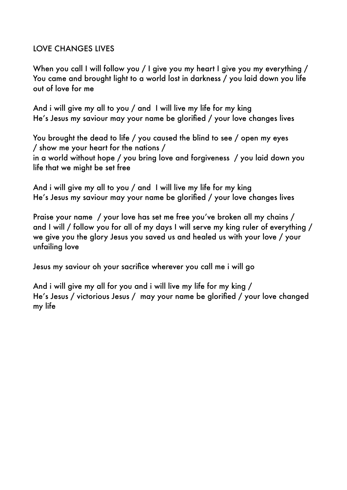#### LOVE CHANGES LIVES

When you call I will follow you / I give you my heart I give you my everything / You came and brought light to a world lost in darkness / you laid down you life out of love for me

And i will give my all to you / and I will live my life for my king He's Jesus my saviour may your name be glorified / your love changes lives

You brought the dead to life / you caused the blind to see / open my eyes / show me your heart for the nations / in a world without hope / you bring love and forgiveness / you laid down you life that we might be set free

And i will give my all to you / and I will live my life for my king He's Jesus my saviour may your name be glorified / your love changes lives

Praise your name / your love has set me free you've broken all my chains / and I will / follow you for all of my days I will serve my king ruler of everything / we give you the glory Jesus you saved us and healed us with your love / your unfailing love

Jesus my saviour oh your sacrifice wherever you call me i will go

And i will give my all for you and i will live my life for my king / He's Jesus / victorious Jesus / may your name be glorified / your love changed my life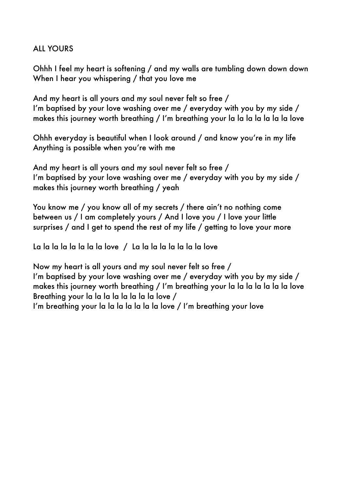#### **ALL YOURS**

Ohhh I feel my heart is softening / and my walls are tumbling down down down When I hear you whispering / that you love me

And my heart is all yours and my soul never felt so free / I'm baptised by your love washing over me / everyday with you by my side / makes this journey worth breathing / I'm breathing your la la la la la la la love

Ohhh everyday is beautiful when I look around / and know you're in my life Anything is possible when you're with me

And my heart is all yours and my soul never felt so free / I'm baptised by your love washing over me / everyday with you by my side / makes this journey worth breathing / yeah

You know me / you know all of my secrets / there ain't no nothing come between us / I am completely yours / And I love you / I love your little surprises / and I get to spend the rest of my life / getting to love your more

La la la la la la la la love / La la la la la la la la love

Now my heart is all yours and my soul never felt so free / I'm baptised by your love washing over me / everyday with you by my side / makes this journey worth breathing / I'm breathing your la la la la la la la love Breathing your la la la la la la la la love /

I'm breathing your la la la la la la la love / I'm breathing your love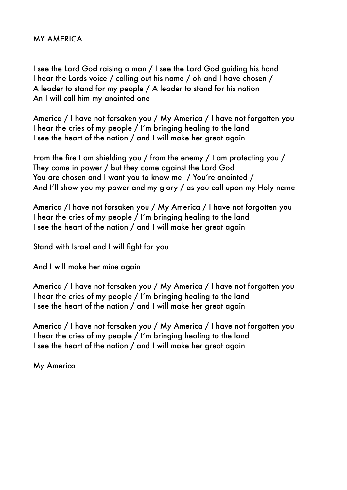#### MY AMERICA

I see the Lord God raising a man / I see the Lord God guiding his hand I hear the Lords voice / calling out his name / oh and I have chosen / A leader to stand for my people / A leader to stand for his nation An I will call him my anointed one

America / I have not forsaken you / My America / I have not forgotten you I hear the cries of my people / I'm bringing healing to the land I see the heart of the nation / and I will make her great again

From the fire I am shielding you / from the enemy / I am protecting you / They come in power / but they come against the Lord God You are chosen and I want you to know me / You're anointed / And I'll show you my power and my glory / as you call upon my Holy name

America /I have not forsaken you / My America / I have not forgotten you I hear the cries of my people / I'm bringing healing to the land I see the heart of the nation / and I will make her great again

Stand with Israel and I will fight for you

And I will make her mine again

America / I have not forsaken you / My America / I have not forgotten you I hear the cries of my people / I'm bringing healing to the land I see the heart of the nation / and I will make her great again

America / I have not forsaken you / My America / I have not forgotten you I hear the cries of my people / I'm bringing healing to the land I see the heart of the nation / and I will make her great again

My America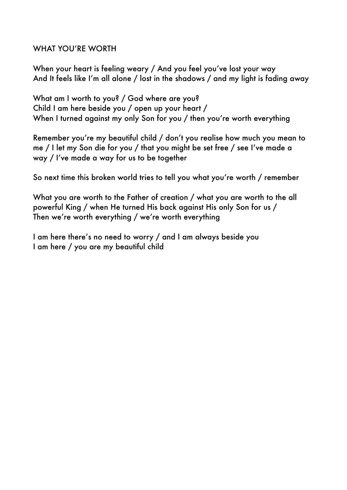#### WHAT YOU'RE WORTH

When your heart is feeling weary / And you feel you've lost your way And It feels like I'm all alone / lost in the shadows / and my light is fading away

What am I worth to you? / God where are you? Child I am here beside you / open up your heart / When I turned against my only Son for you / then you're worth everything

Remember you're my beautiful child / don't you realise how much you mean to me / I let my Son die for you / that you might be set free / see I've made a way / I've made a way for us to be together

So next time this broken world tries to tell you what you're worth / remember

What you are worth to the Father of creation / what you are worth to the all powerful King / when He turned His back against His only Son for us / Then we're worth everything / we're worth everything

I am here there's no need to worry / and I am always beside you I am here / you are my beautiful child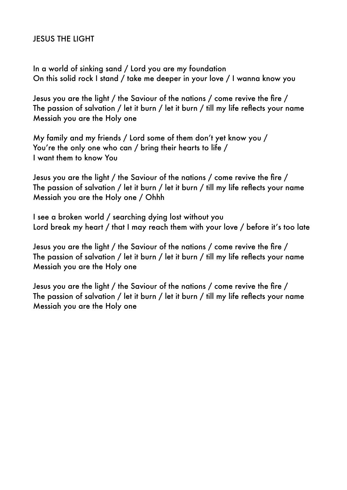#### JESUS THE LIGHT

In a world of sinking sand / Lord you are my foundation On this solid rock I stand / take me deeper in your love / I wanna know you

Jesus you are the light / the Saviour of the nations / come revive the fire / The passion of salvation / let it burn / let it burn / till my life reflects your name Messiah you are the Holy one

My family and my friends / Lord some of them don't yet know you / You're the only one who can / bring their hearts to life / I want them to know You

Jesus you are the light / the Saviour of the nations / come revive the fire / The passion of salvation / let it burn / let it burn / till my life reflects your name Messiah you are the Holy one / Ohhh

I see a broken world / searching dying lost without you Lord break my heart / that I may reach them with your love / before it's too late

Jesus you are the light / the Saviour of the nations / come revive the fire / The passion of salvation / let it burn / let it burn / till my life reflects your name Messiah you are the Holy one

Jesus you are the light / the Saviour of the nations / come revive the fire / The passion of salvation / let it burn / let it burn / till my life reflects your name Messiah you are the Holy one